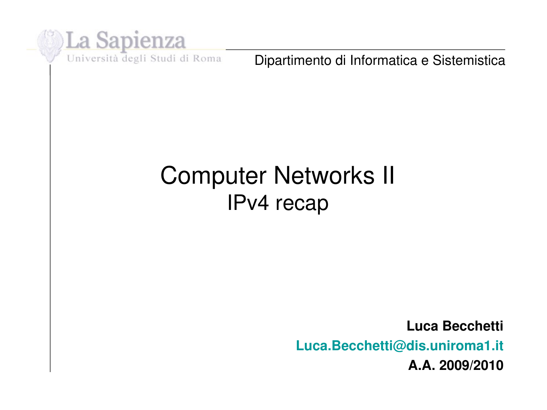

Dipartimento di Informatica e Sistemistica

#### Computer Networks II IPv4 recap

**Luca Becchetti Luca.Becchetti@dis.uniroma1.it A.A. 2009/2010**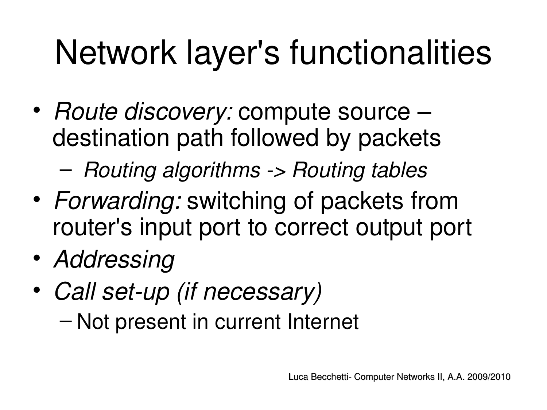# Network layer's functionalities

• *Route discovery:* compute source – destination path followed by packets

– *Routing algorithms > Routing tables*

- *Forwarding:* switching of packets from router's input port to correct output port
- *Addressing*
- Call set-up (if necessary) – Not present in current Internet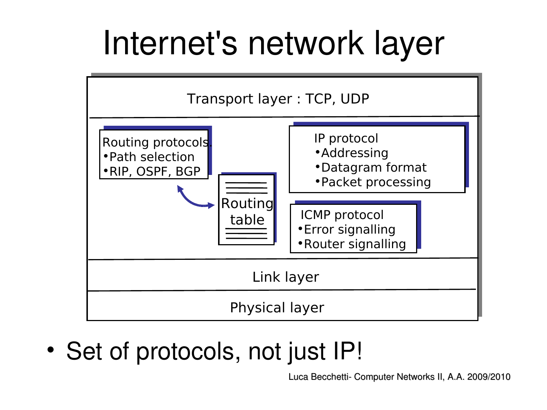## Internet's network layer



• Set of protocols, not just IP!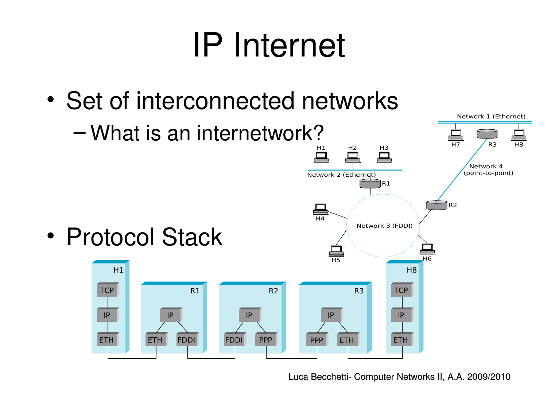# IP Internet

• Set of interconnected networks

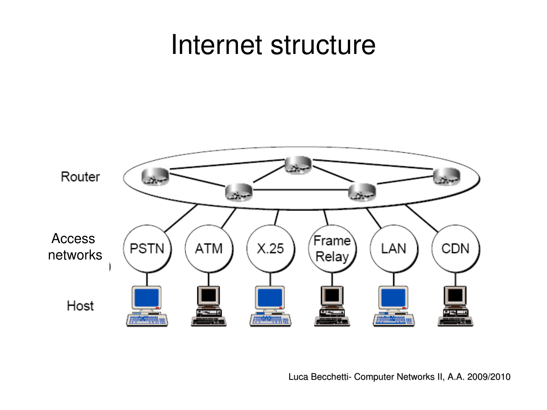#### Internet structure

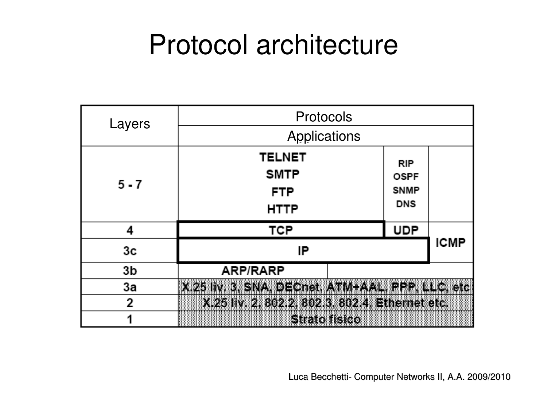### Protocol architecture

| Layers  | Protocols                                       |             |             |  |  |  |  |
|---------|-------------------------------------------------|-------------|-------------|--|--|--|--|
|         | Applications                                    |             |             |  |  |  |  |
|         | <b>TELNET</b>                                   | <b>RIP</b>  |             |  |  |  |  |
| $5 - 7$ | <b>SMTP</b>                                     | <b>OSPF</b> |             |  |  |  |  |
|         | <b>FTP</b>                                      | <b>SNMP</b> |             |  |  |  |  |
|         | <b>HTTP</b>                                     | <b>DNS</b>  |             |  |  |  |  |
| 4       | TCP                                             | <b>UDP</b>  | <b>ICMP</b> |  |  |  |  |
| Зc      | IP                                              |             |             |  |  |  |  |
| 3b      | <b>ARP/RARP</b>                                 |             |             |  |  |  |  |
| Зa      | X.25 IW.3. SNA, DEChet, ATM-AAL, PPP. LLC. etc. |             |             |  |  |  |  |
| 2       | X.25 liv. 2, 802.2, 802.3, 802.4, Ethernet etc. |             |             |  |  |  |  |
|         | Strato fisico                                   |             |             |  |  |  |  |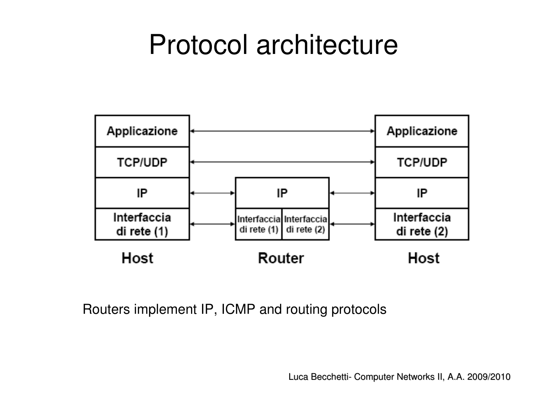### Protocol architecture



Routers implement IP, ICMP and routing protocols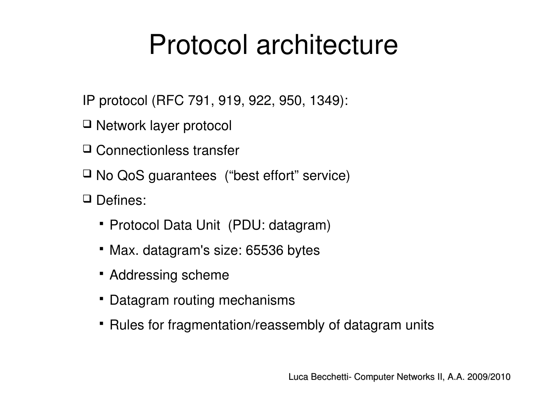### Protocol architecture

- IP protocol (RFC 791, 919, 922, 950, 1349):
- □ Network layer protocol
- □ Connectionless transfer
- $\Box$  No QoS guarantees ("best effort" service)
- Defines:
	- Protocol Data Unit (PDU: datagram)
	- Max. datagram's size: 65536 bytes
	- **Addressing scheme**
	- Datagram routing mechanisms
	- Rules for fragmentation/reassembly of datagram units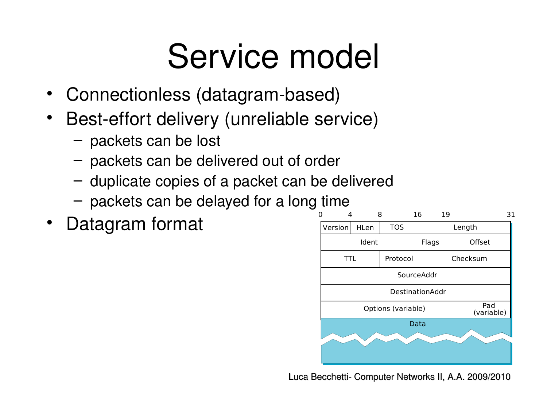# Service model

- Connectionless (datagram-based)
- Best-effort delivery (unreliable service)
	- packets can be lost
	- packets can be delivered out of order
	- duplicate copies of a packet can be delivered
	- packets can be delayed for a long time
- 

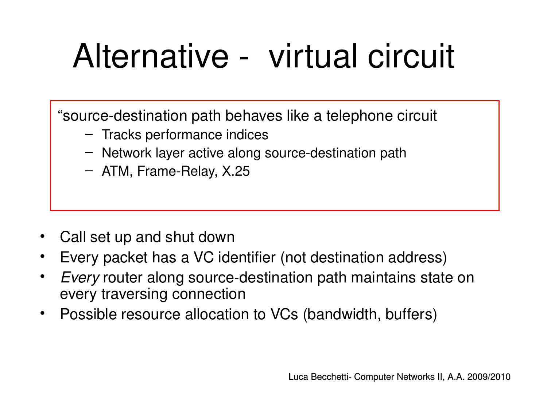# Alternative - virtual circuit

"source-destination path behaves like a telephone circuit

- Tracks performance indices
- $-$  Network layer active along source-destination path
- $-$  ATM, Frame-Relay, X.25

- Call set up and shut down
- Every packet has a VC identifier (not destination address)
- *Every* router along source-destination path maintains state on every traversing connection
- Possible resource allocation to VCs (bandwidth, buffers)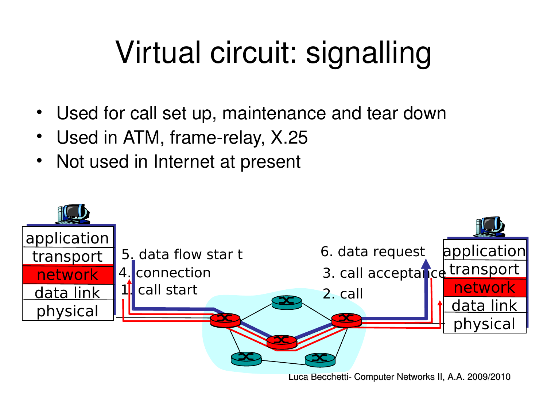## Virtual circuit: signalling

- Used for call set up, maintenance and tear down
- Used in ATM, frame-relay, X.25
- Not used in Internet at present

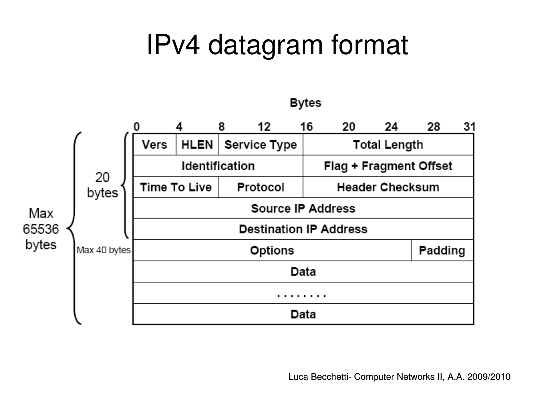

**Bytes**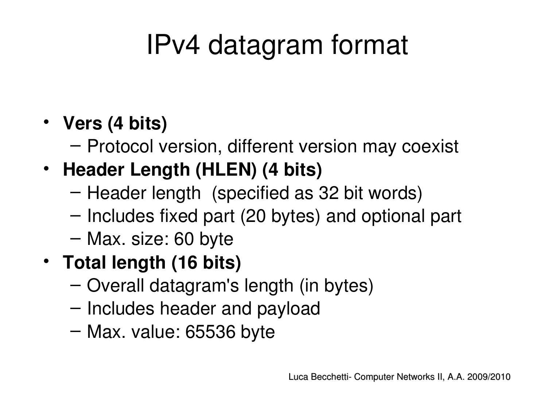#### • **Vers (4 bits)**

– Protocol version, different version may coexist

#### • **Header Length (HLEN) (4 bits)**

- Header length (specified as 32 bit words)
- Includes fixed part (20 bytes) and optional part
- Max. size: 60 byte

#### • **Total length (16 bits)**

- Overall datagram's length (in bytes)
- Includes header and payload
- Max. value: 65536 byte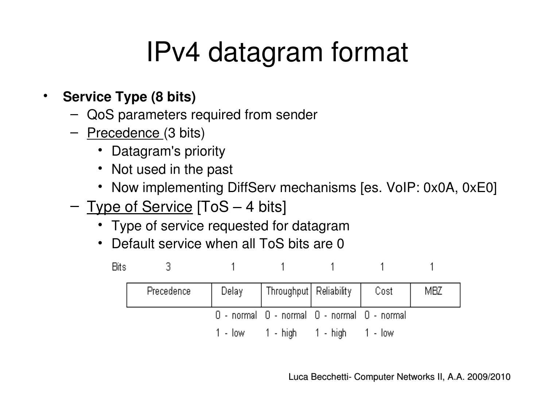- **Service Type (8 bits)**
	- QoS parameters required from sender
	- Precedence (3 bits)
		- Datagram's priority
		- Not used in the past
		- Now implementing DiffServ mechanisms [es. VoIP: 0x0A, 0xE0]
	- Type of Service [ToS 4 bits]
		- Type of service requested for datagram
		- Default service when all ToS bits are 0

| Bits |            |                                             |  |     |
|------|------------|---------------------------------------------|--|-----|
|      | Precedence | Delay   Throughput   Reliability   Cost     |  | MBZ |
|      |            | 0 - normal 0 - normal 0 - normal 0 - normal |  |     |
|      |            | $1 - low$ $1 - high$ $1 - high$ $1 - low$   |  |     |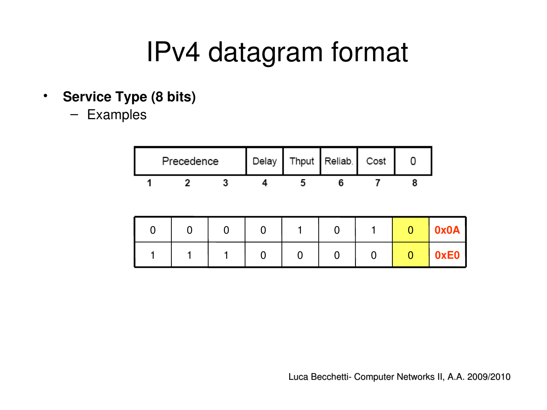- **Service Type (8 bits)**
	- Examples

| Precedence |  | Delay   Thput   Reliab.   Cost |  |
|------------|--|--------------------------------|--|
|            |  |                                |  |

|  |  |  |  | 0x0A |
|--|--|--|--|------|
|  |  |  |  | 0xE0 |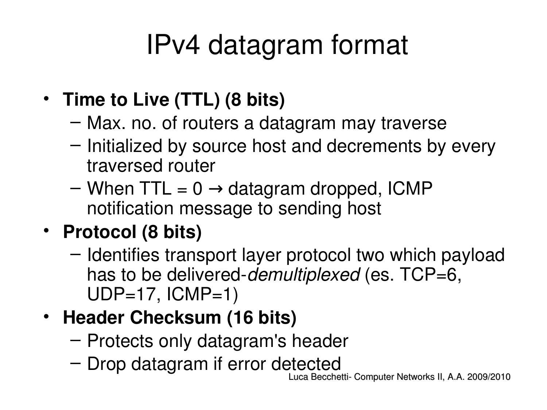- **Time to Live (TTL) (8 bits)**
	- Max. no. of routers a datagram may traverse
	- Initialized by source host and decrements by every traversed router
	- When TTL =  $0 \rightarrow$  datagram dropped, ICMP notification message to sending host
- **Protocol (8 bits)**
	- Identifies transport layer protocol two which payload has to be delivered-*demultiplexed* (es. TCP=6,  $UDP=17$ ,  $ICMP=1$ )
- **Header Checksum (16 bits)**
	- Protects only datagram's header
	- Drop datagram if error detected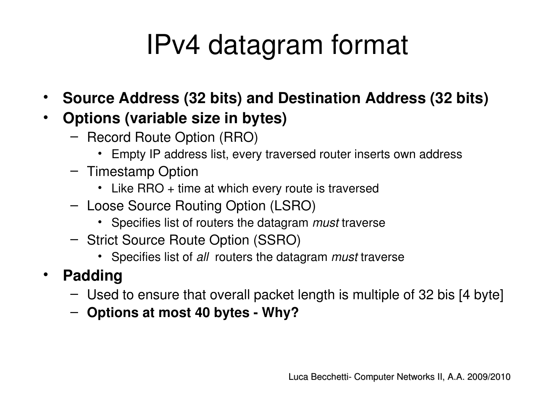- **Source Address (32 bits) and Destination Address (32 bits)**
- **Options (variable size in bytes)**
	- Record Route Option (RRO)
		- Empty IP address list, every traversed router inserts own address
	- Timestamp Option
		- Like RRO + time at which every route is traversed
	- Loose Source Routing Option (LSRO)
		- Specifies list of routers the datagram *must* traverse
	- Strict Source Route Option (SSRO)
		- Specifies list of *all*  routers the datagram *must* traverse
- **Padding**
	- Used to ensure that overall packet length is multiple of 32 bis [4 byte]
	- **Options at most 40 bytes Why?**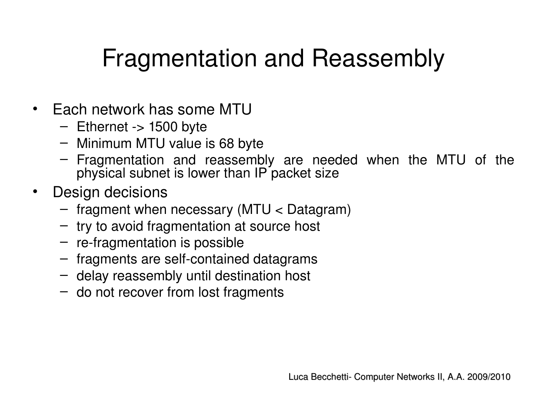#### Fragmentation and Reassembly

- Each network has some MTU
	- $-$  Ethernet  $\rightarrow$  1500 byte
	- Minimum MTU value is 68 byte
	- Fragmentation and reassembly are needed when the MTU of the physical subnet is lower than IP packet size
- Design decisions
	- fragment when necessary (MTU < Datagram)
	- try to avoid fragmentation at source host
	- $-$  re-fragmentation is possible
	- $-$  fragments are self-contained datagrams
	- delay reassembly until destination host
	- do not recover from lost fragments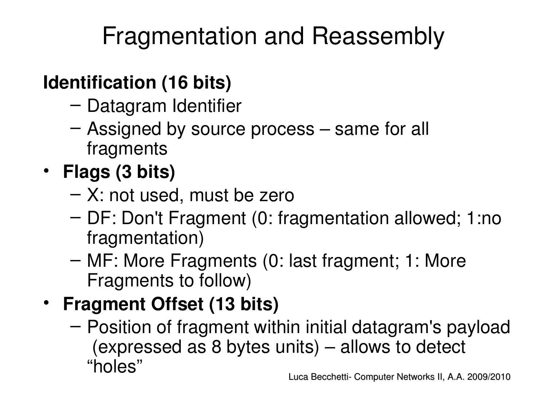### Fragmentation and Reassembly

#### **Identification (16 bits)**

- Datagram Identifier
- Assigned by source process same for all fragments
- **Flags (3 bits)**
	- X: not used, must be zero
	- DF: Don't Fragment (0: fragmentation allowed; 1:no fragmentation)
	- MF: More Fragments (0: last fragment; 1: More Fragments to follow)
- **Fragment Offset (13 bits)**
	- Position of fragment within initial datagram's payload (expressed as 8 bytes units) – allows to detect "holes"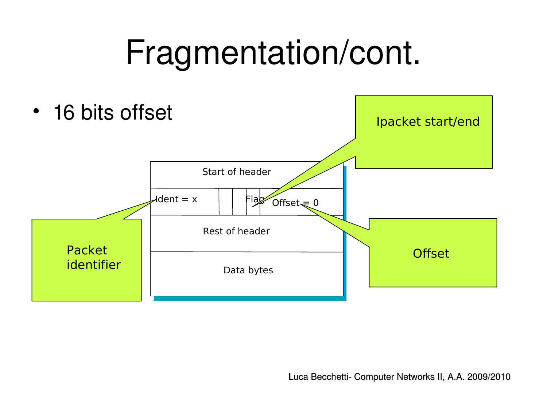# Fragmentation/cont.

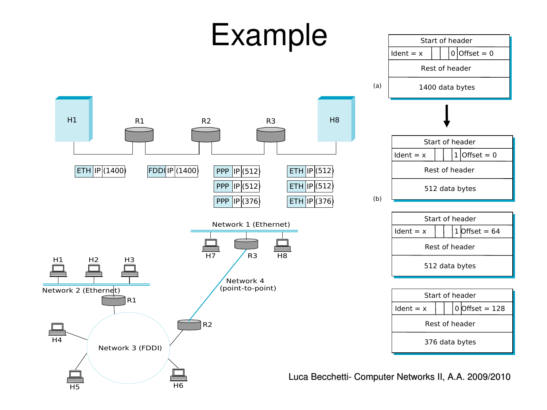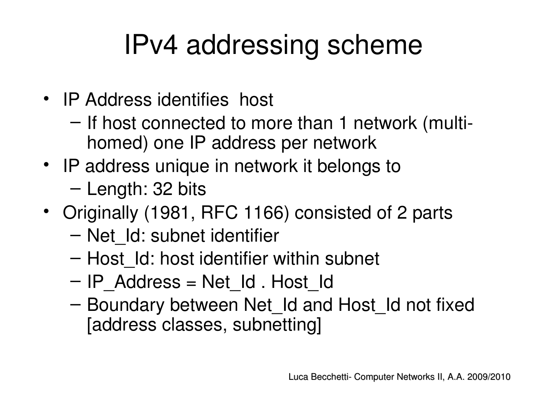### IPv4 addressing scheme

- IP Address identifies host
	- If host connected to more than 1 network (multihomed) one IP address per network
- IP address unique in network it belongs to
	- Length: 32 bits
- Originally (1981, RFC 1166) consisted of 2 parts
	- Net\_Id: subnet identifier
	- Host\_Id: host identifier within subnet
	- IP\_Address = Net\_Id . Host\_Id
	- Boundary between Net\_Id and Host\_Id not fixed [address classes, subnetting]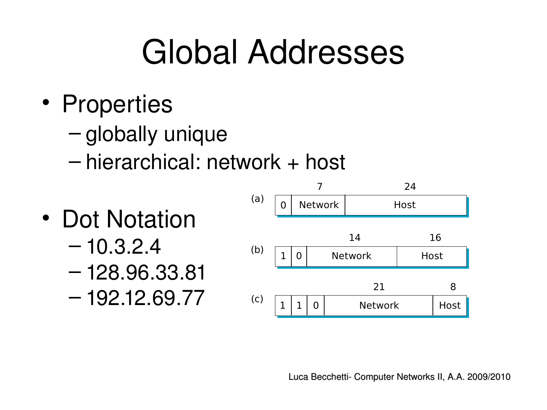# Global Addresses

- Properties
	- globally unique
	- hierarchical: network + host
- Dot Notation
	- $-10.3.2.4$
	- 128.96.33.81
	- 192.12.69.77

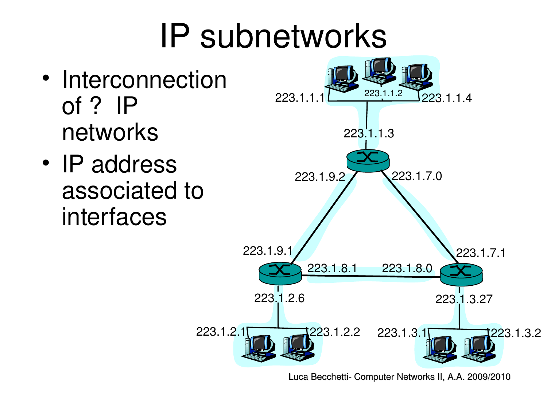# IP subnetworks

- Interconnection of ? IP networks
- IP address associated to interfaces

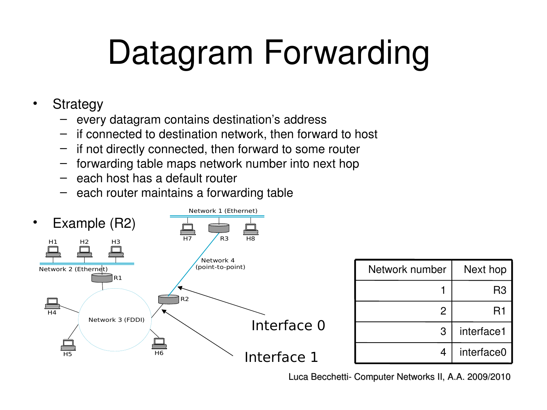# Datagram Forwarding

- Strategy
	- every datagram contains destination's address
	- if connected to destination network, then forward to host
	- if not directly connected, then forward to some router
	- forwarding table maps network number into next hop
	- each host has a default router
	- each router maintains a forwarding table

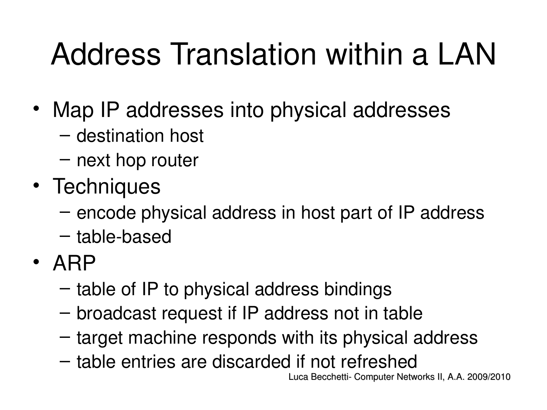# Address Translation within a LAN

- Map IP addresses into physical addresses
	- destination host
	- next hop router
- Techniques
	- encode physical address in host part of IP address
	- $-$  table-based
- ARP
	- table of IP to physical address bindings
	- broadcast request if IP address not in table
	- target machine responds with its physical address
	- table entries are discarded if not refreshed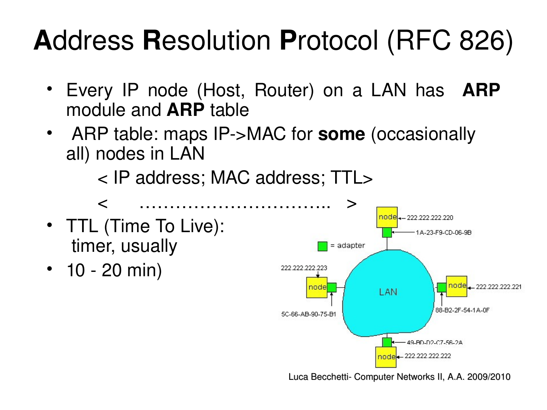### **A**ddress **R**esolution **P**rotocol (RFC 826)

- Every IP node (Host, Router) on a LAN has **ARP** module and **ARP** table
- ARP table: maps IP>MAC for **some** (occasionally all) nodes in LAN

< IP address; MAC address; TTL>

- TTL (Time To Live): timer, usually
- $10 20$  min)

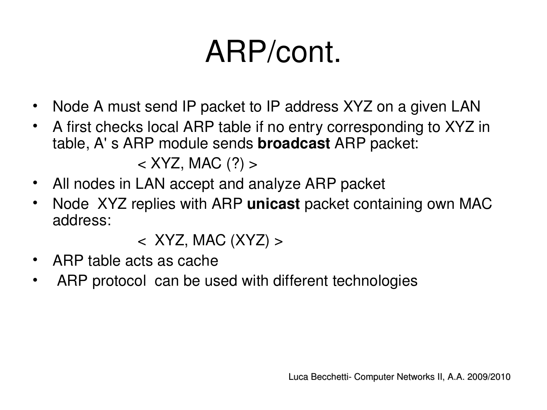## ARP/cont.

- Node A must send IP packet to IP address XYZ on a given LAN
- A first checks local ARP table if no entry corresponding to XYZ in table, A' s ARP module sends **broadcast** ARP packet:  $\langle$  XYZ, MAC  $(?)$  >
- All nodes in LAN accept and analyze ARP packet
- Node XYZ replies with ARP **unicast** packet containing own MAC address:

 $\langle$  XYZ, MAC (XYZ)  $>$ 

- ARP table acts as cache
- ARP protocol can be used with different technologies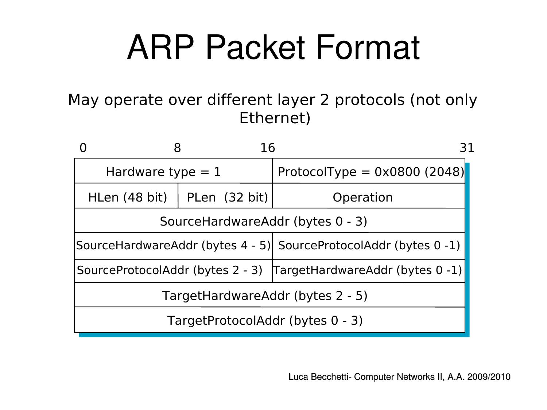# ARP Packet Format

May operate over different layer 2 protocols (not only Ethernet)

|                                  | 16            | 31                                                               |  |  |
|----------------------------------|---------------|------------------------------------------------------------------|--|--|
| Hardware type $= 1$              |               | ProtocolType = $0 \times 0800$ (2048)                            |  |  |
| HLen (48 bit)                    | PLen (32 bit) | Operation                                                        |  |  |
|                                  |               | SourceHardwareAddr (bytes 0 - 3)                                 |  |  |
|                                  |               | SourceHardwareAddr (bytes 4 - 5) SourceProtocolAddr (bytes 0 -1) |  |  |
|                                  |               | SourceProtocolAddr (bytes 2 - 3) TargetHardwareAddr (bytes 0 -1) |  |  |
| TargetHardwareAddr (bytes 2 - 5) |               |                                                                  |  |  |
|                                  |               | TargetProtocolAddr (bytes 0 - 3)                                 |  |  |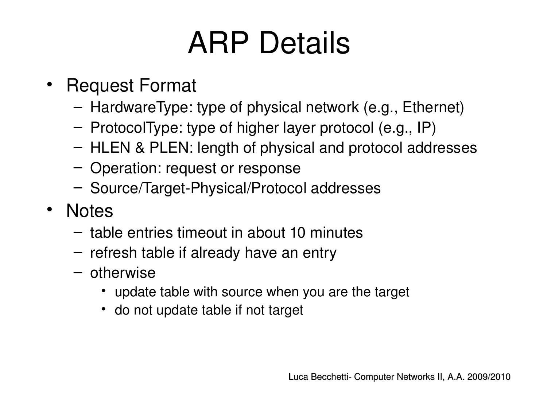### ARP Details

- Request Format
	- HardwareType: type of physical network (e.g., Ethernet)
	- ProtocolType: type of higher layer protocol (e.g., IP)
	- HLEN & PLEN: length of physical and protocol addresses
	- Operation: request or response
	- Source/Target-Physical/Protocol addresses
- Notes
	- table entries timeout in about 10 minutes
	- refresh table if already have an entry
	- otherwise
		- update table with source when you are the target
		- do not update table if not target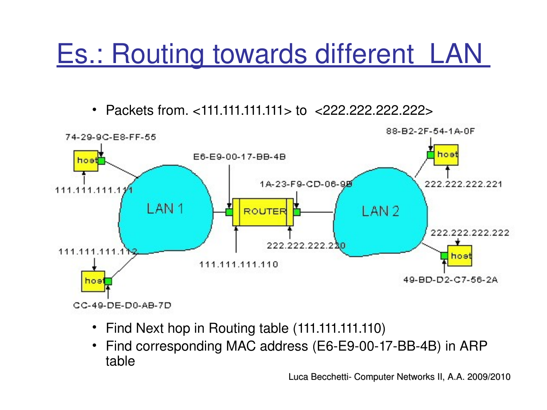### Es.: Routing towards different LAN

• Packets from. <111.111.111.111> to <222.222.222.222>



- Find Next hop in Routing table (111.111.111.110)
- Find corresponding MAC address (E6-E9-00-17-BB-4B) in ARP table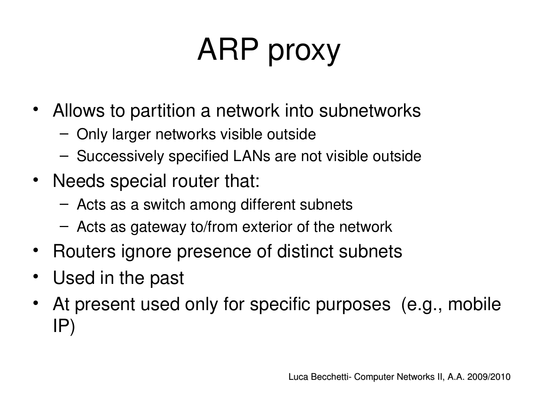# ARP proxy

- Allows to partition a network into subnetworks
	- Only larger networks visible outside
	- Successively specified LANs are not visible outside
- Needs special router that:
	- Acts as a switch among different subnets
	- Acts as gateway to/from exterior of the network
- Routers ignore presence of distinct subnets
- Used in the past
- At present used only for specific purposes (e.g., mobile IP)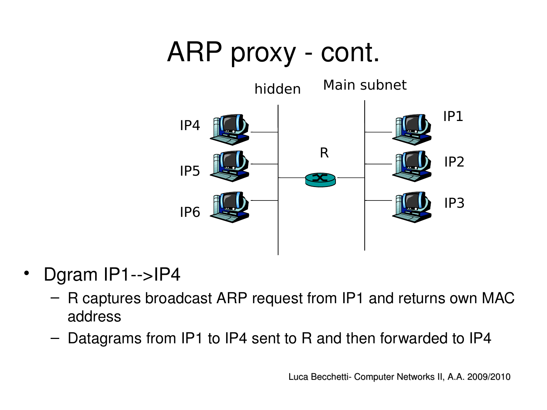### ARP proxy - cont.



- Dgram IP1-->IP4
	- R captures broadcast ARP request from IP1 and returns own MAC address
	- Datagrams from IP1 to IP4 sent to R and then forwarded to IP4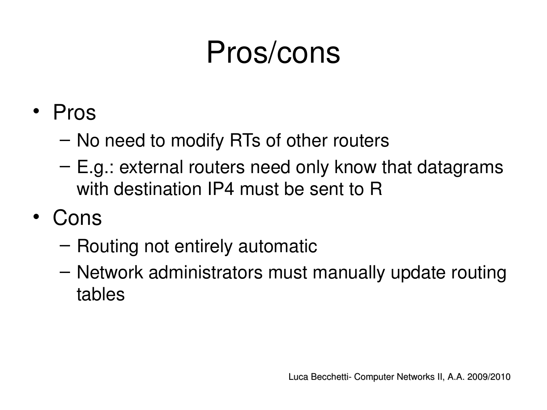### Pros/cons

- Pros
	- No need to modify RTs of other routers
	- E.g.: external routers need only know that datagrams with destination IP4 must be sent to R
- Cons
	- Routing not entirely automatic
	- Network administrators must manually update routing tables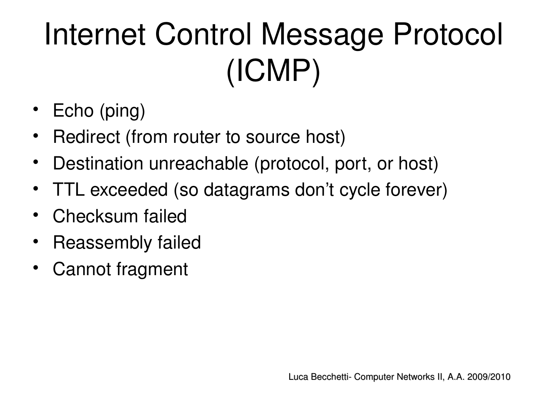# Internet Control Message Protocol (ICMP)

- Echo (ping)
- Redirect (from router to source host)
- Destination unreachable (protocol, port, or host)
- TTL exceeded (so datagrams don't cycle forever)
- Checksum failed
- Reassembly failed
- Cannot fragment